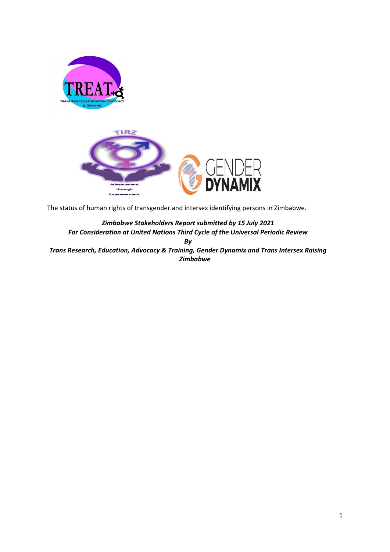

through Empowerment

The status of human rights of transgender and intersex identifying persons in Zimbabwe.

*Zimbabwe Stakeholders Report submitted by 15 July 2021 For Consideration at United Nations Third Cycle of the Universal Periodic Review By Trans Research, Education, Advocacy & Training, Gender Dynamix and Trans Intersex Raising Zimbabwe*

1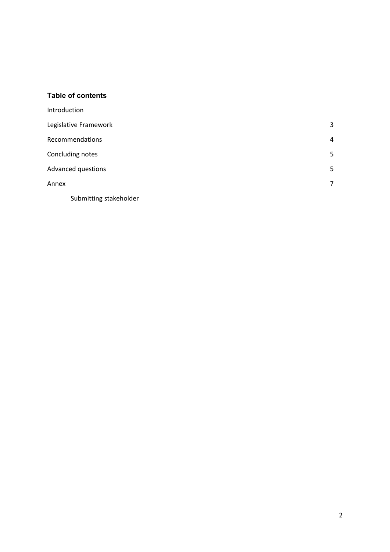### **Table of contents**

| Introduction           |   |
|------------------------|---|
| Legislative Framework  | 3 |
| Recommendations        | 4 |
| Concluding notes       | 5 |
| Advanced questions     | 5 |
| Annex                  | 7 |
| Submitting stakeholder |   |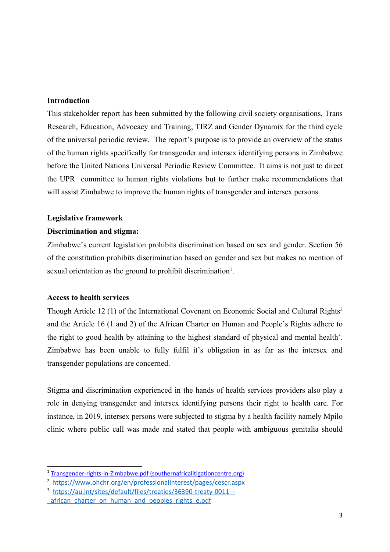## **Introduction**

This stakeholder repor<sup>t</sup> has been submitted by the following civil society organisations, Trans Research, Education, Advocacy and Training, TIRZ and Gender Dynamix for the third cycle of the universal periodic review. The report'<sup>s</sup> purpose is to provide an overview of the status of the human rights specifically for transgender and intersex identifying persons in Zimbabwe before the United Nations Universal Periodic Review Committee. It aims is not just to direct the UPR committee to human rights violations but to further make recommendations that will assist Zimbabwe to improve the human rights of transgender and intersex persons.

#### **Legislative framework**

#### **Discrimination and stigma:**

Zimbabwe'<sup>s</sup> current legislation prohibits discrimination based on sex and gender. Section 56 of the constitution prohibits discrimination based on gender and sex but makes no mention of sexual orientation as the ground to prohibit discrimination<sup>1</sup>.

#### **Access to health services**

Though Article 12 (1) of the International Covenant on Economic Social and Cultural Rights 2 and the Article 16 (1 and 2) of the African Charter on Human and People'<sup>s</sup> Rights adhere to the right to good health by attaining to the highest standard of physical and mental health<sup>3</sup>. Zimbabwe has been unable to fully fulfil it'<sup>s</sup> obligation in as far as the intersex and transgender populations are concerned.

Stigma and discrimination experienced in the hands of health services providers also play <sup>a</sup> role in denying transgender and intersex identifying persons their right to health care. For instance, in 2019, intersex persons were subjected to stigma by <sup>a</sup> health facility namely Mpilo clinic where public call was made and stated that people with ambiguous genitalia should

<sup>1</sup> [Transgender-rights-in-Zimbabwe.pdf](https://www.southernafricalitigationcentre.org/wp-content/uploads/2017/08/Transgender-rights-in-Zimbabwe.pdf) (southernafricalitigationcentre.org)

<sup>2</sup> <https://www.ohchr.org/en/professionalinterest/pages/cescr.aspx>

<sup>&</sup>lt;sup>3</sup> https://au.int/sites/default/files/treaties/36390-treaty-0011 -

african charter on human and peoples rights e.pdf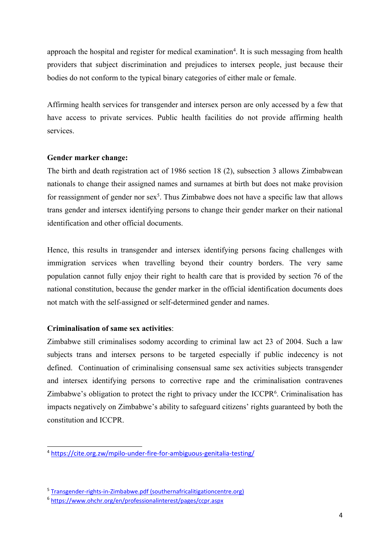approach the hospital and register for medical examination<sup>4</sup>. It is such messaging from health providers that subject discrimination and prejudices to intersex people, just because their bodies do not conform to the typical binary categories of either male or female.

Affirming health services for transgender and intersex person are only accessed by <sup>a</sup> few that have access to private services. Public health facilities do not provide affirming health services.

## **Gender marker change:**

The birth and death registration act of 1986 section 18 (2), subsection 3 allows Zimbabwean nationals to change their assigned names and surnames at birth but does not make provision for reassignment of gender nor sex<sup>5</sup>. Thus Zimbabwe does not have a specific law that allows trans gender and intersex identifying persons to change their gender marker on their national identification and other official documents.

Hence, this results in transgender and intersex identifying persons facing challenges with immigration services when travelling beyond their country borders. The very same population cannot fully enjoy their right to health care that is provided by section 76 of the national constitution, because the gender marker in the official identification documents does not match with the self-assigned or self-determined gender and names.

# **Criminalisation of same sex activities**:

Zimbabwe still criminalises sodomy according to criminal law act 23 of 2004. Such <sup>a</sup> law subjects trans and intersex persons to be targeted especially if public indecency is not defined. Continuation of criminalising consensual same sex activities subjects transgender and intersex identifying persons to corrective rape and the criminalisation contravenes Zimbabwe's obligation to protect the right to privacy under the ICCPR<sup>6</sup>. Criminalisation has impacts negatively on Zimbabwe'<sup>s</sup> ability to safeguard citizens' rights guaranteed by both the constitution and ICCPR.

<sup>4</sup> <https://cite.org.zw/mpilo-under-fire-for-ambiguous-genitalia-testing/>

<sup>5</sup> [Transgender-rights-in-Zimbabwe.pdf](https://www.southernafricalitigationcentre.org/wp-content/uploads/2017/08/Transgender-rights-in-Zimbabwe.pdf) (southernafricalitigationcentre.org)

<sup>6</sup> <https://www.ohchr.org/en/professionalinterest/pages/ccpr.aspx>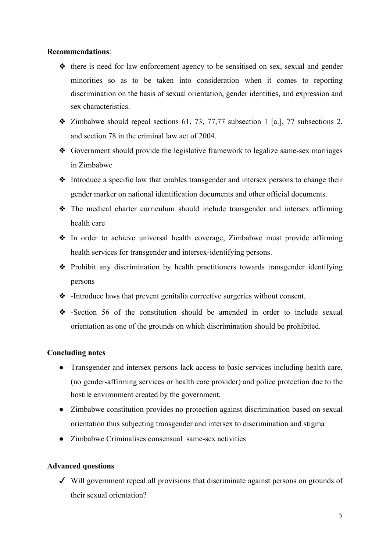#### **Recommendations**:

- ❖ there is need for law enforcement agency to be sensitised on sex, sexual and gender minorities so as to be taken into consideration when it comes to reporting discrimination on the basis of sexual orientation, gender identities, and expression and sex characteristics.
- ❖ Zimbabwe should repeal sections 61, 73, 77,77 subsection 1 [a.], 77 subsections 2, and section 78 in the criminal law act of 2004.
- ❖ Government should provide the legislative framework to legalize same-sex marriages in Zimbabwe
- ❖ Introduce <sup>a</sup> specific law that enables transgender and intersex persons to change their gender marker on national identification documents and other official documents.
- ❖ The medical charter curriculum should include transgender and intersex affirming health care
- ❖ In order to achieve universal health coverage, Zimbabwe must provide affirming health services for transgender and intersex-identifying persons.
- ❖ Prohibit any discrimination by health practitioners towards transgender identifying persons
- ❖ -Introduce laws that preven<sup>t</sup> genitalia corrective surgeries without consent.
- ❖ -Section 56 of the constitution should be amended in order to include sexual orientation as one of the grounds on which discrimination should be prohibited.

## **Concluding notes**

- Transgender and intersex persons lack access to basic services including health care, (no gender-affirming services or health care provider) and police protection due to the hostile environment created by the government.
- Zimbabwe constitution provides no protection against discrimination based on sexual orientation thus subjecting transgender and intersex to discrimination and stigma
- Zimbabwe Criminalises consensual same-sex activities

## **Advanced questions**

✔ Will governmen<sup>t</sup> repeal all provisions that discriminate against persons on grounds of their sexual orientation?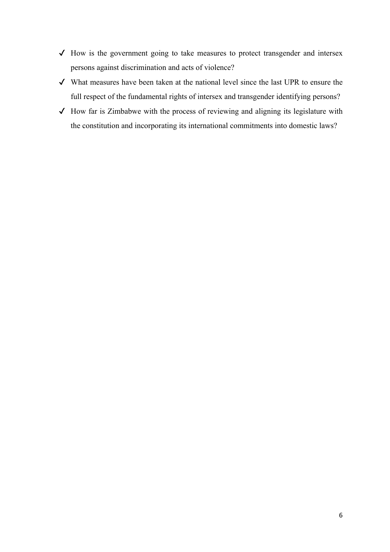- $\checkmark$  How is the government going to take measures to protect transgender and intersex persons against discrimination and acts of violence?
- ✔ What measures have been taken at the national level since the last UPR to ensure the full respec<sup>t</sup> of the fundamental rights of intersex and transgender identifying persons?
- $\checkmark$  How far is Zimbabwe with the process of reviewing and aligning its legislature with the constitution and incorporating its international commitments into domestic laws?